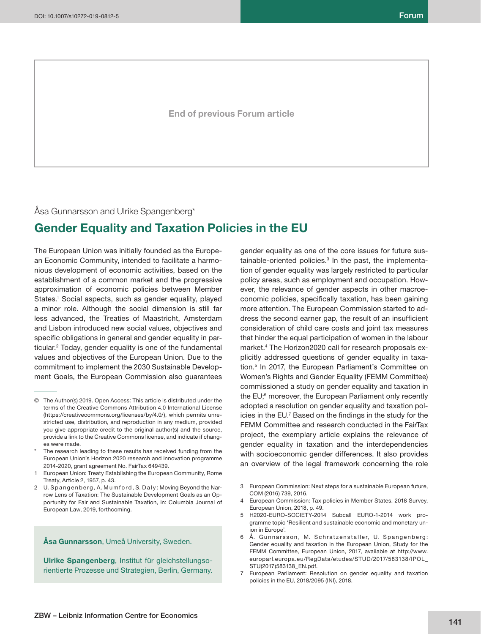**End of previous Forum article**

# Åsa Gunnarsson and Ulrike Spangenberg\*

# **Gender Equality and Taxation Policies in the EU**

The European Union was initially founded as the European Economic Community, intended to facilitate a harmonious development of economic activities, based on the establishment of a common market and the progressive approximation of economic policies between Member States.<sup>1</sup> Social aspects, such as gender equality, played a minor role. Although the social dimension is still far less advanced, the Treaties of Maastricht, Amsterdam and Lisbon introduced new social values, objectives and specific obligations in general and gender equality in particular.2 Today, gender equality is one of the fundamental values and objectives of the European Union. Due to the commitment to implement the 2030 Sustainable Development Goals, the European Commission also guarantees

#### **Åsa Gunnarsson**, Umeå University, Sweden.

**Ulrike Spangenberg**, Institut für gleichstellungsorientierte Prozesse und Strategien, Berlin, Germany.

gender equality as one of the core issues for future sustainable-oriented policies.3 In the past, the implementation of gender equality was largely restricted to particular policy areas, such as employment and occupation. However, the relevance of gender aspects in other macroeconomic policies, specifically taxation, has been gaining more attention. The European Commission started to address the second earner gap, the result of an insufficient consideration of child care costs and joint tax measures that hinder the equal participation of women in the labour market.4 The Horizon2020 call for research proposals explicitly addressed questions of gender equality in taxation.5 In 2017, the European Parliament's Committee on Women's Rights and Gender Equality (FEMM Committee) commissioned a study on gender equality and taxation in the EU;<sup>6</sup> moreover, the European Parliament only recently adopted a resolution on gender equality and taxation policies in the EU.<sup>7</sup> Based on the findings in the study for the FEMM Committee and research conducted in the FairTax project, the exemplary article explains the relevance of gender equality in taxation and the interdependencies with socioeconomic gender differences. It also provides an overview of the legal framework concerning the role

<sup>©</sup> The Author(s) 2019. Open Access: This article is distributed under the terms of the Creative Commons Attribution 4.0 International License (https://creativecommons.org/licenses/by/4.0/), which permits unrestricted use, distribution, and reproduction in any medium, provided you give appropriate credit to the original author(s) and the source, provide a link to the Creative Commons license, and indicate if changes were made.

The research leading to these results has received funding from the European Union's Horizon 2020 research and innovation programme 2014-2020, grant agreement No. FairTax 649439.

<sup>1</sup> European Union: Treaty Establishing the European Community, Rome Treaty, Article 2, 1957, p. 43.

<sup>2</sup> U. Spangenberg, A. Mumford, S. Daly: Moving Beyond the Narrow Lens of Taxation: The Sustainable Development Goals as an Opportunity for Fair and Sustainable Taxation, in: Columbia Journal of European Law, 2019, forthcoming.

<sup>3</sup> European Commission: Next steps for a sustainable European future, COM (2016) 739, 2016.

<sup>4</sup> European Commission: Tax policies in Member States. 2018 Survey, European Union, 2018, p. 49.

<sup>5</sup> H2020-EURO-SOCIETY-2014 Subcall EURO-1-2014 work programme topic 'Resilient and sustainable economic and monetary union in Europe'.

<sup>6</sup> Å. Gunnarsson, M. Schratzenstaller, U. Spangenberg: Gender equality and taxation in the European Union, Study for the FEMM Committee, European Union, 2017, available at http://www. europarl.europa.eu/RegData/etudes/STUD/2017/583138/IPOL\_ STU(2017)583138\_EN.pdf.

<sup>7</sup> European Parliament: Resolution on gender equality and taxation policies in the EU, 2018/2095 (INI), 2018.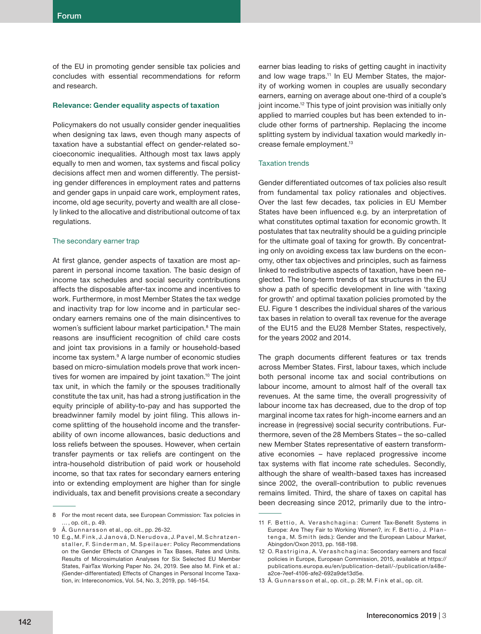of the EU in promoting gender sensible tax policies and concludes with essential recommendations for reform and research.

### **Relevance: Gender equality aspects of taxation**

Policymakers do not usually consider gender inequalities when designing tax laws, even though many aspects of taxation have a substantial effect on gender-related socioeconomic inequalities. Although most tax laws apply equally to men and women, tax systems and fiscal policy decisions affect men and women differently. The persisting gender differences in employment rates and patterns and gender gaps in unpaid care work, employment rates, income, old age security, poverty and wealth are all closely linked to the allocative and distributional outcome of tax regulations.

### The secondary earner trap

At first glance, gender aspects of taxation are most apparent in personal income taxation. The basic design of income tax schedules and social security contributions affects the disposable after-tax income and incentives to work. Furthermore, in most Member States the tax wedge and inactivity trap for low income and in particular secondary earners remains one of the main disincentives to women's sufficient labour market participation.<sup>8</sup> The main reasons are insufficient recognition of child care costs and joint tax provisions in a family or household-based income tax system.<sup>9</sup> A large number of economic studies based on micro-simulation models prove that work incentives for women are impaired by joint taxation.<sup>10</sup> The joint tax unit, in which the family or the spouses traditionally constitute the tax unit, has had a strong justification in the equity principle of ability-to-pay and has supported the breadwinner family model by joint filing. This allows income splitting of the household income and the transferability of own income allowances, basic deductions and loss reliefs between the spouses. However, when certain transfer payments or tax reliefs are contingent on the intra-household distribution of paid work or household income, so that tax rates for secondary earners entering into or extending employment are higher than for single individuals, tax and benefit provisions create a secondary

earner bias leading to risks of getting caught in inactivity and low wage traps.<sup>11</sup> In EU Member States, the majority of working women in couples are usually secondary earners, earning on average about one-third of a couple's joint income.<sup>12</sup> This type of joint provision was initially only applied to married couples but has been extended to include other forms of partnership. Replacing the income splitting system by individual taxation would markedly increase female employment.13

### Taxation trends

Gender differentiated outcomes of tax policies also result from fundamental tax policy rationales and objectives. Over the last few decades, tax policies in EU Member States have been influenced e.g. by an interpretation of what constitutes optimal taxation for economic growth. It postulates that tax neutrality should be a guiding principle for the ultimate goal of taxing for growth. By concentrating only on avoiding excess tax law burdens on the economy, other tax objectives and principles, such as fairness linked to redistributive aspects of taxation, have been neglected. The long-term trends of tax structures in the EU show a path of specific development in line with 'taxing' for growth' and optimal taxation policies promoted by the EU. Figure 1 describes the individual shares of the various tax bases in relation to overall tax revenue for the average of the EU15 and the EU28 Member States, respectively, for the years 2002 and 2014.

The graph documents different features or tax trends across Member States. First, labour taxes, which include both personal income tax and social contributions on labour income, amount to almost half of the overall tax revenues. At the same time, the overall progressivity of labour income tax has decreased, due to the drop of top marginal income tax rates for high-income earners and an increase in (regressive) social security contributions. Furthermore, seven of the 28 Members States – the so-called new Member States representative of eastern transformative economies – have replaced progressive income tax systems with flat income rate schedules. Secondly, although the share of wealth-based taxes has increased since 2002, the overall-contribution to public revenues remains limited. Third, the share of taxes on capital has been decreasing since 2012, primarily due to the intro-

<sup>8</sup> For the most recent data, see European Commission: Tax policies in … , op. cit., p. 49.

<sup>9</sup> Å. Gunnarsson et al., op. cit., pp. 26-32.

<sup>10</sup> E.g., M. Fink, J. Janová, D. Nerudova, J. Pavel, M. Schratzenstaller, F. Sinderman, M. Speilauer: Policy Recommendations on the Gender Effects of Changes in Tax Bases, Rates and Units. Results of Microsimulation Analyses for Six Selected EU Member States, FairTax Working Paper No. 24, 2019. See also M. Fink et al.: (Gender-differentiated) Effects of Changes in Personal Income Taxation, in: Intereconomics, Vol. 54, No. 3, 2019, pp. 146-154.

<sup>11</sup> F. Bettio, A. Verashchagina: Current Tax-Benefit Systems in Europe: Are They Fair to Working Women?, in: F. Bettio, J. Plantenga, M. Smith (eds.): Gender and the European Labour Market, Abingdon/Oxon 2013, pp. 168-198.

<sup>12</sup> O. Rastrigina, A. Verashchagina: Secondary earners and fiscal policies in Europe, European Commission, 2015, available at https:// publications.europa.eu/en/publication-detail/-/publication/a48ea2ce-7eef-4106-afe2-692a9de13d5e.

<sup>13</sup> Å. Gunnarsson et al., op. cit., p. 28; M. Fink et al., op. cit.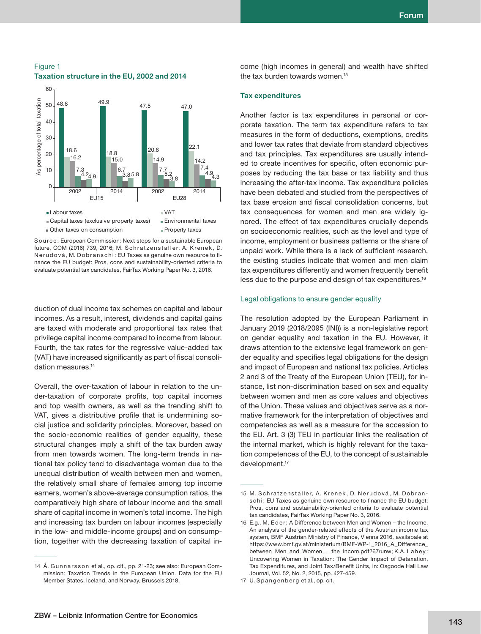60 As percentage of total taxation As percentage of total taxation 48.8 49.9 47.5 47.0 50 40 30 18.6 18.8 20.8 22.1 20 16.2 15.0 14.9 14.2 7.3 6.7 7.7 7.4 4.2 3.8 5.2 4.9 4.9 5.8 3.8 4.3 10 0 2002 2014 2002 2014 EU15 EU28 **Labour taxes** VAT ■ Capital taxes (exclusive property taxes) ■ Environmental taxes Other taxes on consumption Property taxes

# Figure 1 **Taxation structure in the EU, 2002 and 2014**

Source: European Commission: Next steps for a sustainable European future, COM (2016) 739, 2016; M. Schratzenstaller, A. Krenek, D. N e r u d o v á, M. D o b r an s c h i : EU Taxes as genuine own resource to finance the EU budget: Pros, cons and sustainability-oriented criteria to evaluate potential tax candidates, FairTax Working Paper No. 3, 2016.

duction of dual income tax schemes on capital and labour incomes. As a result, interest, dividends and capital gains are taxed with moderate and proportional tax rates that privilege capital income compared to income from labour. Fourth, the tax rates for the regressive value-added tax (VAT) have increased significantly as part of fiscal consolidation measures.<sup>14</sup>

Overall, the over-taxation of labour in relation to the under-taxation of corporate profits, top capital incomes and top wealth owners, as well as the trending shift to VAT, gives a distributive profile that is undermining social justice and solidarity principles. Moreover, based on the socio-economic realities of gender equality, these structural changes imply a shift of the tax burden away from men towards women. The long-term trends in national tax policy tend to disadvantage women due to the unequal distribution of wealth between men and women, the relatively small share of females among top income earners, women's above-average consumption ratios, the comparatively high share of labour income and the small share of capital income in women's total income. The high and increasing tax burden on labour incomes (especially in the low- and middle-income groups) and on consumption, together with the decreasing taxation of capital in-

come (high incomes in general) and wealth have shifted the tax burden towards women.<sup>15</sup>

## **Tax expenditures**

Another factor is tax expenditures in personal or corporate taxation. The term tax expenditure refers to tax measures in the form of deductions, exemptions, credits and lower tax rates that deviate from standard objectives and tax principles. Tax expenditures are usually intended to create incentives for specific, often economic purposes by reducing the tax base or tax liability and thus increasing the after-tax income. Tax expenditure policies have been debated and studied from the perspectives of tax base erosion and fiscal consolidation concerns, but tax consequences for women and men are widely ignored. The effect of tax expenditures crucially depends on socioeconomic realities, such as the level and type of income, employment or business patterns or the share of unpaid work. While there is a lack of sufficient research, the existing studies indicate that women and men claim tax expenditures differently and women frequently benefit less due to the purpose and design of tax expenditures.16

### Legal obligations to ensure gender equality

The resolution adopted by the European Parliament in January 2019 (2018/2095 (INI)) is a non-legislative report on gender equality and taxation in the EU. However, it draws attention to the extensive legal framework on gender equality and specifies legal obligations for the design and impact of European and national tax policies. Articles 2 and 3 of the Treaty of the European Union (TEU), for instance, list non-discrimination based on sex and equality between women and men as core values and objectives of the Union. These values and objectives serve as a normative framework for the interpretation of objectives and competencies as well as a measure for the accession to the EU. Art. 3 (3) TEU in particular links the realisation of the internal market, which is highly relevant for the taxation competences of the EU, to the concept of sustainable development.<sup>17</sup>

<sup>14</sup> Å. Gunnarsson et al., op. cit., pp. 21-23; see also: European Commission: Taxation Trends in the European Union. Data for the EU Member States, Iceland, and Norway, Brussels 2018.

<sup>15</sup> M. Schratzenstaller, A. Krenek, D. Nerudová, M. Dobrans chi: EU Taxes as genuine own resource to finance the EU budget: Pros, cons and sustainability-oriented criteria to evaluate potential tax candidates, FairTax Working Paper No. 3, 2016.

<sup>16</sup> E.g., M. Eder: A Difference between Men and Women - the Income. An analysis of the gender-related effects of the Austrian income tax system, BMF Austrian Ministry of Finance, Vienna 2016, availabale at https://www.bmf.gv.at/ministerium/BMF-WP-1\_2016\_A\_Difference\_ between\_Men\_and\_Women\_\_\_the\_Incom.pdf?67runw; K.A. Lahey: Uncovering Women in Taxation: The Gender Impact of Detaxation, Tax Expenditures, and Joint Tax/Benefit Units, in: Osgoode Hall Law Journal, Vol. 52, No. 2, 2015, pp. 427-459.

<sup>17</sup> U. Spangenberg et al., op. cit.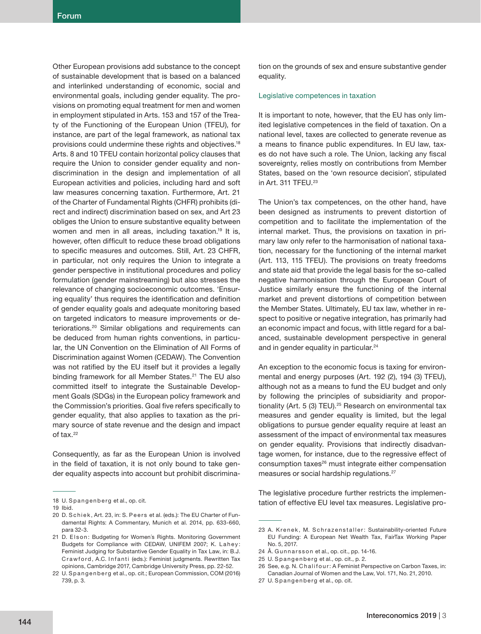Other European provisions add substance to the concept of sustainable development that is based on a balanced and interlinked understanding of economic, social and environmental goals, including gender equality. The provisions on promoting equal treatment for men and women in employment stipulated in Arts. 153 and 157 of the Treaty of the Functioning of the European Union (TFEU), for instance, are part of the legal framework, as national tax provisions could undermine these rights and objectives.18 Arts. 8 and 10 TFEU contain horizontal policy clauses that require the Union to consider gender equality and nondiscrimination in the design and implementation of all European activities and policies, including hard and soft law measures concerning taxation. Furthermore, Art. 21 of the Charter of Fundamental Rights (CHFR) prohibits (direct and indirect) discrimination based on sex, and Art 23 obliges the Union to ensure substantive equality between women and men in all areas, including taxation.<sup>19</sup> It is, however, often difficult to reduce these broad obligations to specific measures and outcomes. Still, Art. 23 CHFR, in particular, not only requires the Union to integrate a gender perspective in institutional procedures and policy formulation (gender mainstreaming) but also stresses the relevance of changing socioeconomic outcomes. 'Ensuring equality' thus requires the identification and definition of gender equality goals and adequate monitoring based on targeted indicators to measure improvements or deteriorations.<sup>20</sup> Similar obligations and requirements can be deduced from human rights conventions, in particular, the UN Convention on the Elimination of All Forms of Discrimination against Women (CEDAW). The Convention was not ratified by the EU itself but it provides a legally binding framework for all Member States.<sup>21</sup> The EU also committed itself to integrate the Sustainable Development Goals (SDGs) in the European policy framework and the Commission's priorities. Goal five refers specifically to gender equality, that also applies to taxation as the primary source of state revenue and the design and impact of tax.<sup>22</sup>

Consequently, as far as the European Union is involved in the field of taxation, it is not only bound to take gender equality aspects into account but prohibit discrimination on the grounds of sex and ensure substantive gender equality.

### Legislative competences in taxation

It is important to note, however, that the EU has only limited legislative competences in the field of taxation. On a national level, taxes are collected to generate revenue as a means to finance public expenditures. In EU law, taxes do not have such a role. The Union, lacking any fiscal sovereignty, relies mostly on contributions from Member States, based on the 'own resource decision', stipulated in Art. 311 TFEU.23

The Union's tax competences, on the other hand, have been designed as instruments to prevent distortion of competition and to facilitate the implementation of the internal market. Thus, the provisions on taxation in primary law only refer to the harmonisation of national taxation, necessary for the functioning of the internal market (Art. 113, 115 TFEU). The provisions on treaty freedoms and state aid that provide the legal basis for the so-called negative harmonisation through the European Court of Justice similarly ensure the functioning of the internal market and prevent distortions of competition between the Member States. Ultimately, EU tax law, whether in respect to positive or negative integration, has primarily had an economic impact and focus, with little regard for a balanced, sustainable development perspective in general and in gender equality in particular.<sup>24</sup>

An exception to the economic focus is taxing for environmental and energy purposes (Art. 192 (2), 194 (3) TFEU), although not as a means to fund the EU budget and only by following the principles of subsidiarity and proportionality (Art. 5 (3) TEU).<sup>25</sup> Research on environmental tax measures and gender equality is limited, but the legal obligations to pursue gender equality require at least an assessment of the impact of environmental tax measures on gender equality. Provisions that indirectly disadvantage women, for instance, due to the regressive effect of consumption taxes<sup>26</sup> must integrate either compensation measures or social hardship regulations.27

The legislative procedure further restricts the implementation of effective EU level tax measures. Legislative pro-

<sup>18</sup> U. Spangenberg et al., op. cit.

<sup>19</sup> Ibid.

<sup>20</sup> D. Schiek, Art. 23, in: S. Peers et al. (eds.): The EU Charter of Fundamental Rights: A Commentary, Munich et al. 2014, pp. 633-660, para 32-3.

<sup>21</sup> D. Elson: Budgeting for Women's Rights. Monitoring Government Budgets for Compliance with CEDAW, UNIFEM 2007; K. Lahey: Feminist Judging for Substantive Gender Equality in Tax Law, in: B.J. Crawford, A.C. Infanti (eds.): Feminist judgments. Rewritten Tax opinions, Cambridge 2017, Cambridge University Press, pp. 22-52.

<sup>22</sup> U. Spangenberg et al., op. cit.; European Commission, COM (2016) 739, p. 3.

<sup>23</sup> A. Krenek, M. Schrazenstaller: Sustainability-oriented Future EU Funding: A European Net Wealth Tax, FairTax Working Paper No. 5, 2017.

<sup>24</sup> Å. Gunnarsson et al., op. cit., pp. 14-16.

<sup>25</sup> U. Spangenberg et al., op. cit., p. 2.

<sup>26</sup> See, e.g. N. Chalifour: A Feminist Perspective on Carbon Taxes, in: Canadian Journal of Women and the Law, Vol. 171, No. 21, 2010.

<sup>27</sup> U. Spangenberg et al., op. cit.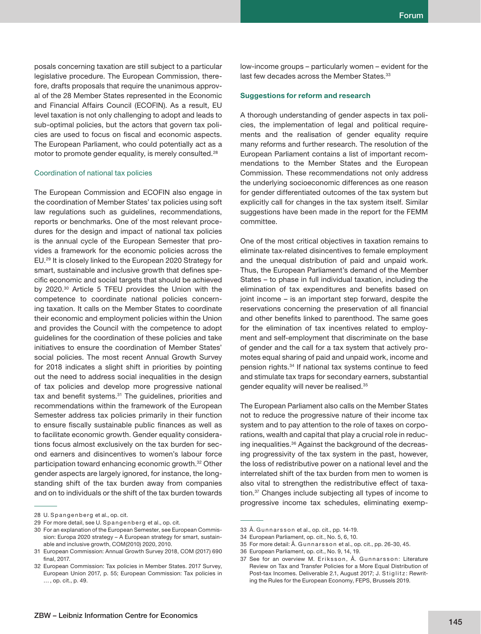posals concerning taxation are still subject to a particular legislative procedure. The European Commission, therefore, drafts proposals that require the unanimous approval of the 28 Member States represented in the Economic and Financial Affairs Council (ECOFIN). As a result, EU level taxation is not only challenging to adopt and leads to sub-optimal policies, but the actors that govern tax policies are used to focus on fiscal and economic aspects. The European Parliament, who could potentially act as a motor to promote gender equality, is merely consulted.28

# Coordination of national tax policies

The European Commission and ECOFIN also engage in the coordination of Member States' tax policies using soft law regulations such as guidelines, recommendations, reports or benchmarks. One of the most relevant procedures for the design and impact of national tax policies is the annual cycle of the European Semester that provides a framework for the economic policies across the EU.29 It is closely linked to the European 2020 Strategy for smart, sustainable and inclusive growth that defines specific economic and social targets that should be achieved by 2020.30 Article 5 TFEU provides the Union with the competence to coordinate national policies concerning taxation. It calls on the Member States to coordinate their economic and employment policies within the Union and provides the Council with the competence to adopt guidelines for the coordination of these policies and take initiatives to ensure the coordination of Member States' social policies. The most recent Annual Growth Survey for 2018 indicates a slight shift in priorities by pointing out the need to address social inequalities in the design of tax policies and develop more progressive national tax and benefit systems.<sup>31</sup> The guidelines, priorities and recommendations within the framework of the European Semester address tax policies primarily in their function to ensure fiscally sustainable public finances as well as to facilitate economic growth. Gender equality considerations focus almost exclusively on the tax burden for second earners and disincentives to women's labour force participation toward enhancing economic growth.32 Other gender aspects are largely ignored, for instance, the longstanding shift of the tax burden away from companies and on to individuals or the shift of the tax burden towards low-income groups – particularly women – evident for the last few decades across the Member States.<sup>33</sup>

# **Suggestions for reform and research**

A thorough understanding of gender aspects in tax policies, the implementation of legal and political requirements and the realisation of gender equality require many reforms and further research. The resolution of the European Parliament contains a list of important recommendations to the Member States and the European Commission. These recommendations not only address the underlying socioeconomic differences as one reason for gender differentiated outcomes of the tax system but explicitly call for changes in the tax system itself. Similar suggestions have been made in the report for the FEMM committee.

One of the most critical objectives in taxation remains to eliminate tax-related disincentives to female employment and the unequal distribution of paid and unpaid work. Thus, the European Parliament's demand of the Member States – to phase in full individual taxation, including the elimination of tax expenditures and benefits based on joint income – is an important step forward, despite the reservations concerning the preservation of all financial and other benefits linked to parenthood. The same goes for the elimination of tax incentives related to employment and self-employment that discriminate on the base of gender and the call for a tax system that actively promotes equal sharing of paid and unpaid work, income and pension rights.34 If national tax systems continue to feed and stimulate tax traps for secondary earners, substantial gender equality will never be realised.35

The European Parliament also calls on the Member States not to reduce the progressive nature of their income tax system and to pay attention to the role of taxes on corporations, wealth and capital that play a crucial role in reducing inequalities.36 Against the background of the decreasing progressivity of the tax system in the past, however, the loss of redistributive power on a national level and the interrelated shift of the tax burden from men to women is also vital to strengthen the redistributive effect of taxation.37 Changes include subjecting all types of income to progressive income tax schedules, eliminating exemp-

<sup>28</sup> U. Spangenberg et al., op. cit.

<sup>29</sup> For more detail, see U. Spangenberg et al., op. cit.

<sup>30</sup> For an explanation of the European Semester, see European Commission: Europa 2020 strategy – A European strategy for smart, sustainable and inclusive growth, COM(2010) 2020, 2010.

<sup>31</sup> European Commission: Annual Growth Survey 2018, COM (2017) 690 final,  $2017$ 

<sup>32</sup> European Commission: Tax policies in Member States. 2017 Survey, European Union 2017, p. 55; European Commission: Tax policies in … , op. cit., p. 49.

<sup>33</sup> Å. Gunnarsson et al., op. cit., pp. 14-19.

<sup>34</sup> European Parliament, op. cit., No. 5, 6, 10.

<sup>35</sup> For more detail: Å. Gunnarsson et al., op. cit., pp. 26-30, 45.

<sup>36</sup> European Parliament, op. cit., No. 9, 14, 19.

<sup>37</sup> See for an overview M. Eriksson, Å. Gunnarsson: Literature Review on Tax and Transfer Policies for a More Equal Distribution of Post-tax Incomes. Deliverable 2.1, August 2017; J. Stiglitz: Rewriting the Rules for the European Economy, FEPS, Brussels 2019.